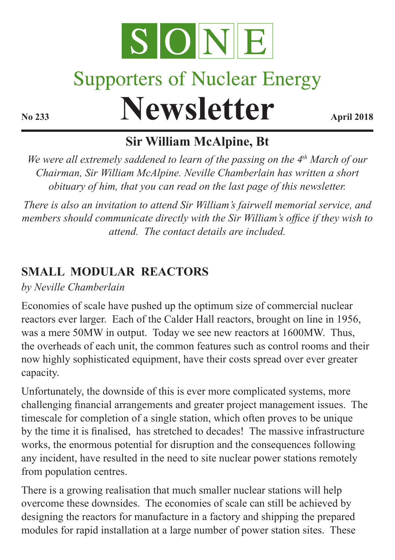

# **Supporters of Nuclear Energy**

**Newsletter April 2018** 

# **Sir William McAlpine, Bt**

*We were all extremely saddened to learn of the passing on the 4th March of our Chairman, Sir William McAlpine. Neville Chamberlain has written a short obituary of him, that you can read on the last page of this newsletter.* 

*There is also an invitation to attend Sir William's fairwell memorial service, and members should communicate directly with the Sir William's office if they wish to attend. The contact details are included.*

## **SMALL MODULAR REACTORS**

*by Neville Chamberlain*

Economies of scale have pushed up the optimum size of commercial nuclear reactors ever larger. Each of the Calder Hall reactors, brought on line in 1956, was a mere 50MW in output. Today we see new reactors at 1600MW. Thus, the overheads of each unit, the common features such as control rooms and their now highly sophisticated equipment, have their costs spread over ever greater capacity.

Unfortunately, the downside of this is ever more complicated systems, more challenging financial arrangements and greater project management issues. The timescale for completion of a single station, which often proves to be unique by the time it is finalised, has stretched to decades! The massive infrastructure works, the enormous potential for disruption and the consequences following any incident, have resulted in the need to site nuclear power stations remotely from population centres.

There is a growing realisation that much smaller nuclear stations will help overcome these downsides. The economies of scale can still be achieved by designing the reactors for manufacture in a factory and shipping the prepared modules for rapid installation at a large number of power station sites. These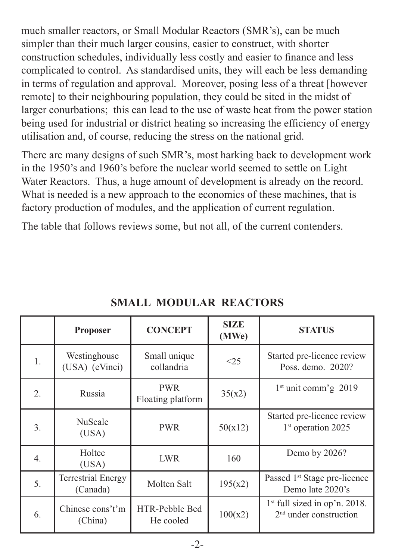much smaller reactors, or Small Modular Reactors (SMR's), can be much simpler than their much larger cousins, easier to construct, with shorter construction schedules, individually less costly and easier to finance and less complicated to control. As standardised units, they will each be less demanding in terms of regulation and approval. Moreover, posing less of a threat [however remote] to their neighbouring population, they could be sited in the midst of larger conurbations; this can lead to the use of waste heat from the power station being used for industrial or district heating so increasing the efficiency of energy utilisation and, of course, reducing the stress on the national grid.

There are many designs of such SMR's, most harking back to development work in the 1950's and 1960's before the nuclear world seemed to settle on Light Water Reactors. Thus, a huge amount of development is already on the record. What is needed is a new approach to the economics of these machines, that is factory production of modules, and the application of current regulation.

The table that follows reviews some, but not all, of the current contenders.

|                  | <b>Proposer</b>                       | <b>CONCEPT</b>                  | <b>SIZE</b><br>(MWe) | <b>STATUS</b>                                                |
|------------------|---------------------------------------|---------------------------------|----------------------|--------------------------------------------------------------|
| 1.               | Westinghouse<br>(USA) (eVinci)        | Small unique<br>collandria      | <25                  | Started pre-licence review<br>Poss. demo. 2020?              |
| $\overline{2}$ . | Russia                                | <b>PWR</b><br>Floating platform | 35(x2)               | $1st$ unit comm'g 2019                                       |
| 3.               | NuScale<br>(USA)                      | <b>PWR</b>                      | 50(x12)              | Started pre-licence review<br>1 <sup>st</sup> operation 2025 |
| 4.               | Holtec<br>(USA)                       | <b>LWR</b>                      | 160                  | Demo by 2026?                                                |
| 5.               | <b>Terrestrial Energy</b><br>(Canada) | Molten Salt                     | 195(x2)              | Passed 1 <sup>st</sup> Stage pre-licence<br>Demo late 2020's |
| 6.               | Chinese cons't'm<br>(China)           | HTR-Pebble Bed<br>He cooled     | 100(x2)              | $1st$ full sized in op'n. 2018.<br>$2nd$ under construction  |

### **SMALL MODULAR REACTORS**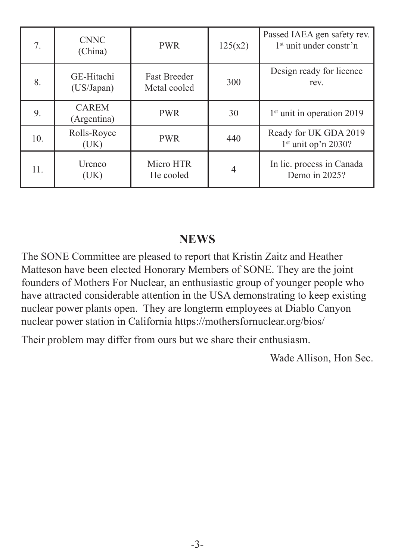| 7.  | <b>CNNC</b><br>(China)      | <b>PWR</b>                          | 125(x2)        | Passed IAEA gen safety rev.<br>1 <sup>st</sup> unit under constr'n |
|-----|-----------------------------|-------------------------------------|----------------|--------------------------------------------------------------------|
| 8.  | GE-Hitachi<br>(US/Japan)    | <b>Fast Breeder</b><br>Metal cooled | 300            | Design ready for licence<br>rev.                                   |
| 9.  | <b>CAREM</b><br>(Argentina) | <b>PWR</b>                          | 30             | 1 <sup>st</sup> unit in operation 2019                             |
| 10. | Rolls-Royce<br>(UK)         | <b>PWR</b>                          | 440            | Ready for UK GDA 2019<br>$1st$ unit op'n 2030?                     |
| 11. | Urenco<br>(UK)              | Micro HTR<br>He cooled              | $\overline{4}$ | In lic. process in Canada<br>Demo in $2025$ ?                      |

#### **NEWS**

The SONE Committee are pleased to report that Kristin Zaitz and Heather Matteson have been elected Honorary Members of SONE. They are the joint founders of Mothers For Nuclear, an enthusiastic group of younger people who have attracted considerable attention in the USA demonstrating to keep existing nuclear power plants open. They are longterm employees at Diablo Canyon nuclear power station in California https://mothersfornuclear.org/bios/

Their problem may differ from ours but we share their enthusiasm.

Wade Allison, Hon Sec.